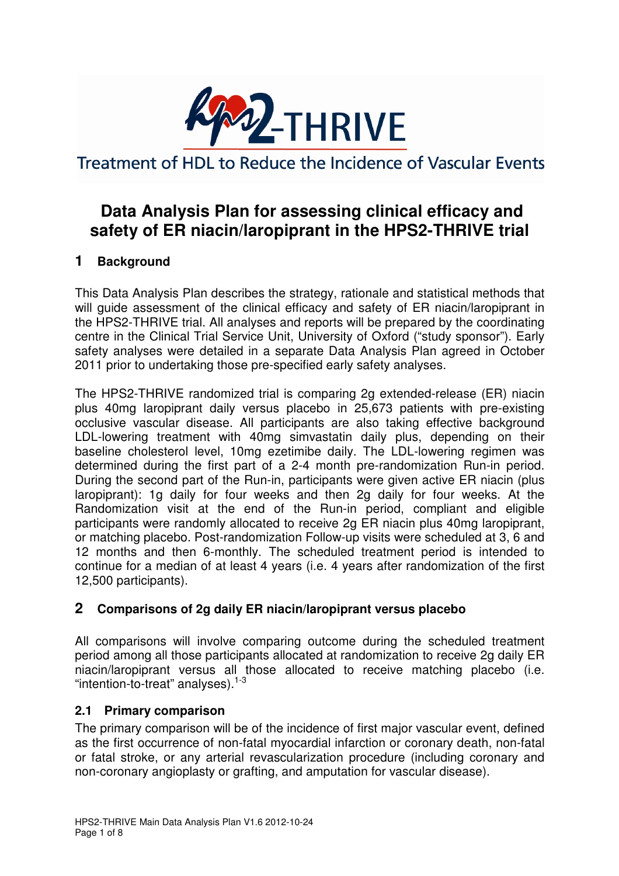

Treatment of HDL to Reduce the Incidence of Vascular Events

# **Data Analysis Plan for assessing clinical efficacy and safety of ER niacin/laropiprant in the HPS2-THRIVE trial**

# **1 Background**

This Data Analysis Plan describes the strategy, rationale and statistical methods that will guide assessment of the clinical efficacy and safety of ER niacin/laropiprant in the HPS2-THRIVE trial. All analyses and reports will be prepared by the coordinating centre in the Clinical Trial Service Unit, University of Oxford ("study sponsor"). Early safety analyses were detailed in a separate Data Analysis Plan agreed in October 2011 prior to undertaking those pre-specified early safety analyses.

The HPS2-THRIVE randomized trial is comparing 2g extended-release (ER) niacin plus 40mg laropiprant daily versus placebo in 25,673 patients with pre-existing occlusive vascular disease. All participants are also taking effective background LDL-lowering treatment with 40mg simvastatin daily plus, depending on their baseline cholesterol level, 10mg ezetimibe daily. The LDL-lowering regimen was determined during the first part of a 2-4 month pre-randomization Run-in period. During the second part of the Run-in, participants were given active ER niacin (plus laropiprant): 1g daily for four weeks and then 2g daily for four weeks. At the Randomization visit at the end of the Run-in period, compliant and eligible participants were randomly allocated to receive 2g ER niacin plus 40mg laropiprant, or matching placebo. Post-randomization Follow-up visits were scheduled at 3, 6 and 12 months and then 6-monthly. The scheduled treatment period is intended to continue for a median of at least 4 years (i.e. 4 years after randomization of the first 12,500 participants).

# **2 Comparisons of 2g daily ER niacin/laropiprant versus placebo**

All comparisons will involve comparing outcome during the scheduled treatment period among all those participants allocated at randomization to receive 2g daily ER niacin/laropiprant versus all those allocated to receive matching placebo (i.e. "intention-to-treat" analyses).1-3

# **2.1 Primary comparison**

The primary comparison will be of the incidence of first major vascular event, defined as the first occurrence of non-fatal myocardial infarction or coronary death, non-fatal or fatal stroke, or any arterial revascularization procedure (including coronary and non-coronary angioplasty or grafting, and amputation for vascular disease).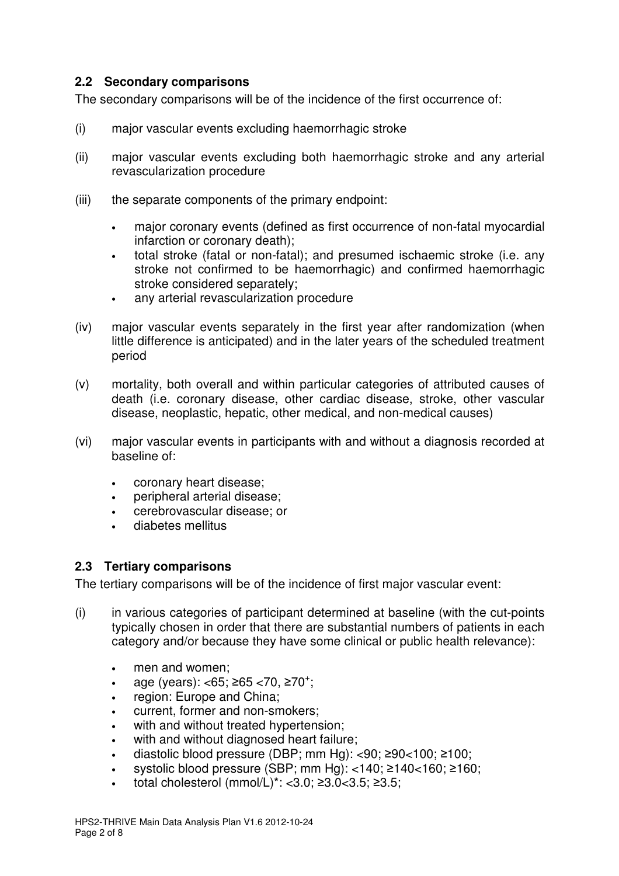#### **2.2 Secondary comparisons**

The secondary comparisons will be of the incidence of the first occurrence of:

- (i) major vascular events excluding haemorrhagic stroke
- (ii) major vascular events excluding both haemorrhagic stroke and any arterial revascularization procedure
- (iii) the separate components of the primary endpoint:
	- major coronary events (defined as first occurrence of non-fatal myocardial infarction or coronary death);
	- total stroke (fatal or non-fatal); and presumed ischaemic stroke (i.e. any stroke not confirmed to be haemorrhagic) and confirmed haemorrhagic stroke considered separately;
	- any arterial revascularization procedure
- (iv) major vascular events separately in the first year after randomization (when little difference is anticipated) and in the later years of the scheduled treatment period
- (v) mortality, both overall and within particular categories of attributed causes of death (i.e. coronary disease, other cardiac disease, stroke, other vascular disease, neoplastic, hepatic, other medical, and non-medical causes)
- (vi) major vascular events in participants with and without a diagnosis recorded at baseline of:
	- coronary heart disease;
	- peripheral arterial disease;
	- cerebrovascular disease; or
	- diabetes mellitus

#### **2.3 Tertiary comparisons**

The tertiary comparisons will be of the incidence of first major vascular event:

- (i) in various categories of participant determined at baseline (with the cut-points typically chosen in order that there are substantial numbers of patients in each category and/or because they have some clinical or public health relevance):
	- men and women:
	- age (years): <65; ≥65 <70, ≥70<sup>+</sup>;
	- region: Europe and China;
	- current, former and non-smokers;
	- with and without treated hypertension:
	- with and without diagnosed heart failure;
	- diastolic blood pressure (DBP; mm Hg): <90; ≥90<100; ≥100;
	- systolic blood pressure (SBP; mm Hg): <140; ≥140<160; ≥160;
	- total cholesterol  $(mmol/L)^*$ : <3.0; ≥3.0<3.5; ≥3.5;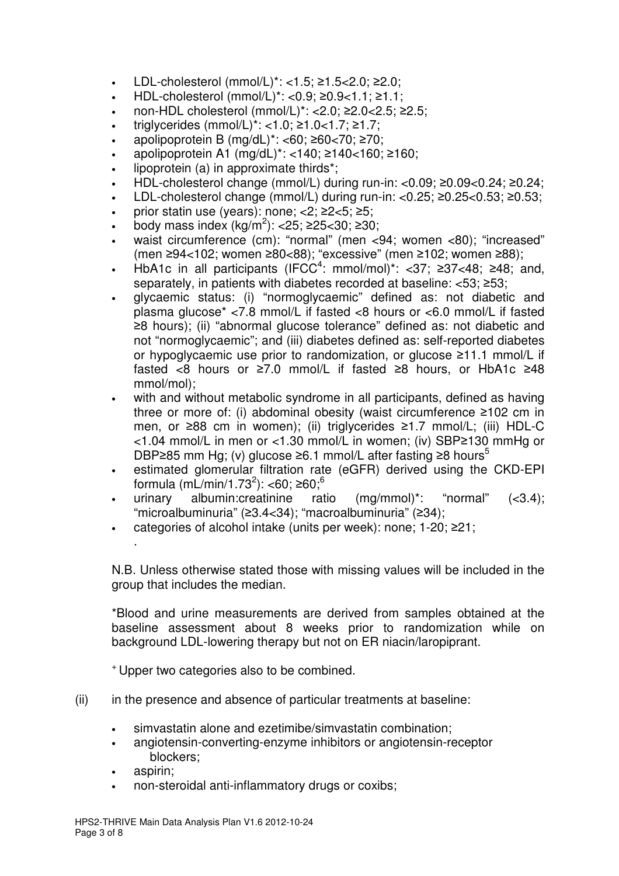- LDL-cholesterol (mmol/L)\*: <1.5; ≥1.5<2.0; ≥2.0;
- HDL-cholesterol (mmol/L)\*: <0.9; ≥0.9<1.1; ≥1.1;
- non-HDL cholesterol (mmol/L)\*: <2.0; ≥2.0<2.5; ≥2.5;
- triglycerides (mmol/L)\*: <1.0; ≥1.0<1.7; ≥1.7;
- apolipoprotein B (mg/dL)\*: <60; ≥60<70; ≥70;
- apolipoprotein A1 (mg/dL)\*: <140; ≥140<160; ≥160;
- lipoprotein (a) in approximate thirds<sup>\*</sup>;
- HDL-cholesterol change (mmol/L) during run-in: <0.09; ≥0.09<0.24; ≥0.24;
- LDL-cholesterol change (mmol/L) during run-in: <0.25; ≥0.25<0.53; ≥0.53;
- prior statin use (years): none;  $\langle 2; 22 \langle 5; 25;$
- body mass index  $(kg/m^2)$ : <25; ≥25<30; ≥30;
- waist circumference (cm): "normal" (men <94; women <80); "increased" (men ≥94<102; women ≥80<88); "excessive" (men ≥102; women ≥88);
- HbA1c in all participants (IFCC<sup>4</sup>: mmol/mol)<sup>\*</sup>: <37; ≥37<48; ≥48; and, separately, in patients with diabetes recorded at baseline: <53; ≥53;
- glycaemic status: (i) "normoglycaemic" defined as: not diabetic and plasma glucose\* <7.8 mmol/L if fasted <8 hours or <6.0 mmol/L if fasted ≥8 hours); (ii) "abnormal glucose tolerance" defined as: not diabetic and not "normoglycaemic"; and (iii) diabetes defined as: self-reported diabetes or hypoglycaemic use prior to randomization, or glucose ≥11.1 mmol/L if fasted <8 hours or ≥7.0 mmol/L if fasted ≥8 hours, or HbA1c ≥48 mmol/mol);
- with and without metabolic syndrome in all participants, defined as having three or more of: (i) abdominal obesity (waist circumference ≥102 cm in men, or ≥88 cm in women); (ii) triglycerides ≥1.7 mmol/L; (iii) HDL-C <1.04 mmol/L in men or <1.30 mmol/L in women; (iv) SBP≥130 mmHg or DBP≥85 mm Hg; (v) glucose ≥6.1 mmol/L after fasting ≥8 hours<sup>5</sup>
- estimated glomerular filtration rate (eGFR) derived using the CKD-EPI formula (mL/min/1.73<sup>2</sup>): <60; ≥60;<sup>6</sup>
- urinary albumin:creatinine ratio (mg/mmol)\*: "normal" (<3.4); "microalbuminuria" (≥3.4<34); "macroalbuminuria" (≥34);
- categories of alcohol intake (units per week): none; 1-20; ≥21;

 N.B. Unless otherwise stated those with missing values will be included in the group that includes the median.

\*Blood and urine measurements are derived from samples obtained at the baseline assessment about 8 weeks prior to randomization while on background LDL-lowering therapy but not on ER niacin/laropiprant.

<sup>+</sup>Upper two categories also to be combined.

- (ii) in the presence and absence of particular treatments at baseline:
	- simvastatin alone and ezetimibe/simvastatin combination;
	- angiotensin-converting-enzyme inhibitors or angiotensin-receptor blockers;
	- aspirin;

.

• non-steroidal anti-inflammatory drugs or coxibs;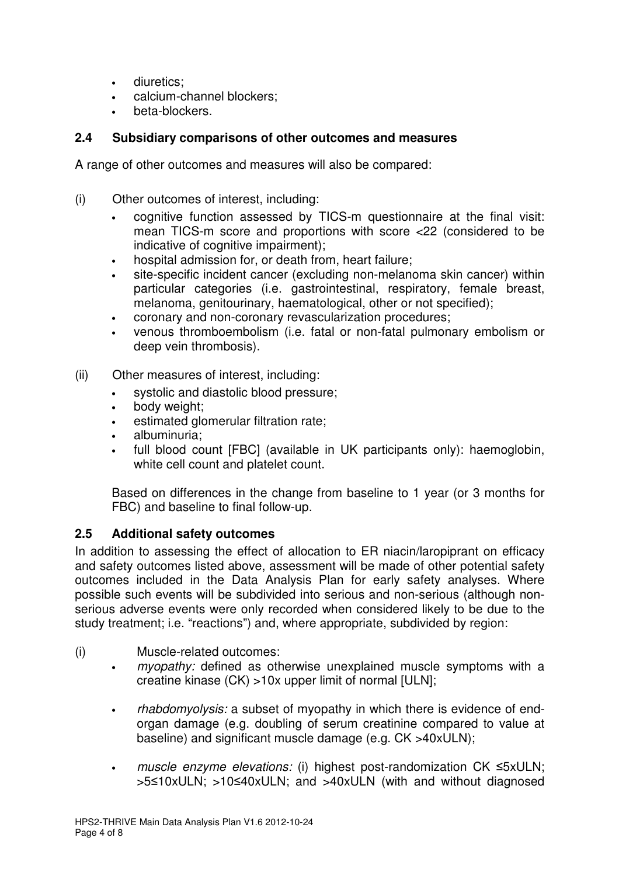- diuretics;
- calcium-channel blockers;
- beta-blockers.

### **2.4 Subsidiary comparisons of other outcomes and measures**

A range of other outcomes and measures will also be compared:

- (i) Other outcomes of interest, including:
	- cognitive function assessed by TICS-m questionnaire at the final visit: mean TICS-m score and proportions with score <22 (considered to be indicative of cognitive impairment):
	- hospital admission for, or death from, heart failure;
	- site-specific incident cancer (excluding non-melanoma skin cancer) within particular categories (i.e. gastrointestinal, respiratory, female breast, melanoma, genitourinary, haematological, other or not specified);
	- coronary and non-coronary revascularization procedures;
	- venous thromboembolism (i.e. fatal or non-fatal pulmonary embolism or deep vein thrombosis).
- (ii) Other measures of interest, including:
	- systolic and diastolic blood pressure;
	- body weight;
	- estimated glomerular filtration rate;
	- albuminuria;
	- full blood count [FBC] (available in UK participants only): haemoglobin, white cell count and platelet count.

Based on differences in the change from baseline to 1 year (or 3 months for FBC) and baseline to final follow-up.

#### **2.5 Additional safety outcomes**

In addition to assessing the effect of allocation to ER niacin/laropiprant on efficacy and safety outcomes listed above, assessment will be made of other potential safety outcomes included in the Data Analysis Plan for early safety analyses. Where possible such events will be subdivided into serious and non-serious (although nonserious adverse events were only recorded when considered likely to be due to the study treatment; i.e. "reactions") and, where appropriate, subdivided by region:

- (i) Muscle-related outcomes:
	- myopathy: defined as otherwise unexplained muscle symptoms with a creatine kinase (CK) >10x upper limit of normal [ULN];
	- *rhabdomyolysis:* a subset of myopathy in which there is evidence of endorgan damage (e.g. doubling of serum creatinine compared to value at baseline) and significant muscle damage (e.g. CK >40xULN);
	- muscle enzyme elevations: (i) highest post-randomization CK ≤5xULN; >5≤10xULN; >10≤40xULN; and >40xULN (with and without diagnosed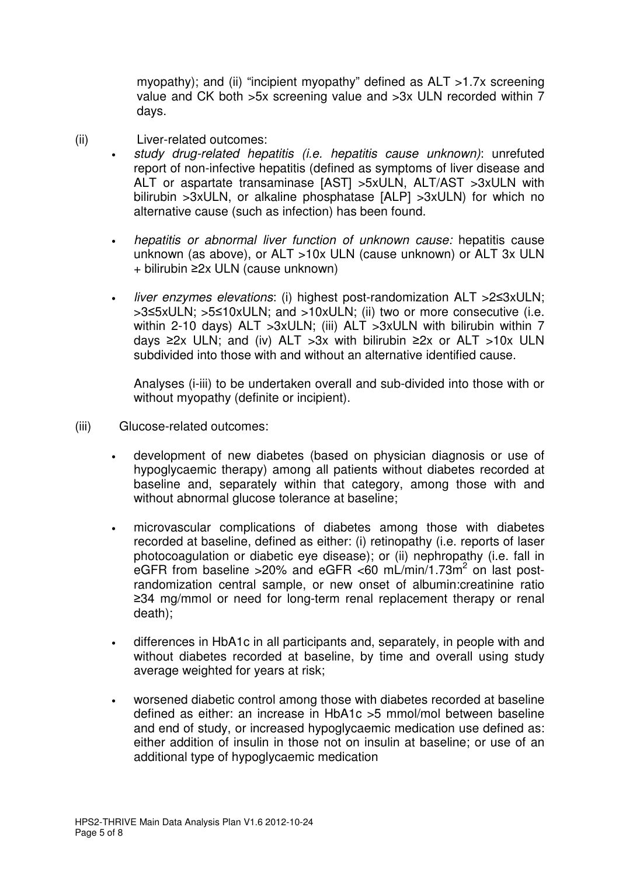myopathy); and (ii) "incipient myopathy" defined as ALT >1.7x screening value and CK both >5x screening value and >3x ULN recorded within 7 days.

- (ii) Liver-related outcomes:
	- study drug-related hepatitis (i.e. hepatitis cause unknown): unrefuted report of non-infective hepatitis (defined as symptoms of liver disease and ALT or aspartate transaminase [AST] >5xULN, ALT/AST >3xULN with bilirubin >3xULN, or alkaline phosphatase [ALP] >3xULN) for which no alternative cause (such as infection) has been found.
		- hepatitis or abnormal liver function of unknown cause: hepatitis cause unknown (as above), or ALT >10x ULN (cause unknown) or ALT 3x ULN + bilirubin ≥2x ULN (cause unknown)
		- liver enzymes elevations: (i) highest post-randomization ALT >2≤3xULN; >3≤5xULN; >5≤10xULN; and >10xULN; (ii) two or more consecutive (i.e. within 2-10 days) ALT > 3xULN; (iii) ALT > 3xULN with bilirubin within 7 days ≥2x ULN; and (iv) ALT > 3x with bilirubin ≥2x or ALT > 10x ULN subdivided into those with and without an alternative identified cause.

Analyses (i-iii) to be undertaken overall and sub-divided into those with or without myopathy (definite or incipient).

- (iii) Glucose-related outcomes:
	- development of new diabetes (based on physician diagnosis or use of hypoglycaemic therapy) among all patients without diabetes recorded at baseline and, separately within that category, among those with and without abnormal glucose tolerance at baseline;
	- microvascular complications of diabetes among those with diabetes recorded at baseline, defined as either: (i) retinopathy (i.e. reports of laser photocoagulation or diabetic eye disease); or (ii) nephropathy (i.e. fall in eGFR from baseline > 20% and eGFR < 60 mL/min/1.73m<sup>2</sup> on last postrandomization central sample, or new onset of albumin:creatinine ratio ≥34 mg/mmol or need for long-term renal replacement therapy or renal death);
	- differences in HbA1c in all participants and, separately, in people with and without diabetes recorded at baseline, by time and overall using study average weighted for years at risk;
	- worsened diabetic control among those with diabetes recorded at baseline defined as either: an increase in HbA1c >5 mmol/mol between baseline and end of study, or increased hypoglycaemic medication use defined as: either addition of insulin in those not on insulin at baseline; or use of an additional type of hypoglycaemic medication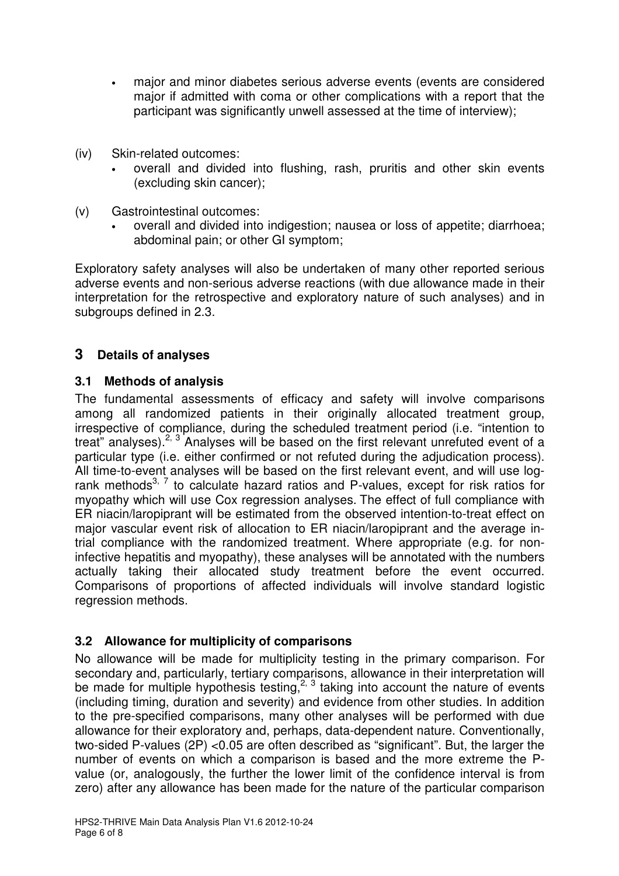- major and minor diabetes serious adverse events (events are considered major if admitted with coma or other complications with a report that the participant was significantly unwell assessed at the time of interview);
- (iv) Skin-related outcomes:
	- overall and divided into flushing, rash, pruritis and other skin events (excluding skin cancer);
- (v) Gastrointestinal outcomes:
	- overall and divided into indigestion; nausea or loss of appetite; diarrhoea; abdominal pain; or other GI symptom;

Exploratory safety analyses will also be undertaken of many other reported serious adverse events and non-serious adverse reactions (with due allowance made in their interpretation for the retrospective and exploratory nature of such analyses) and in subgroups defined in 2.3.

# **3 Details of analyses**

# **3.1 Methods of analysis**

The fundamental assessments of efficacy and safety will involve comparisons among all randomized patients in their originally allocated treatment group, irrespective of compliance, during the scheduled treatment period (i.e. "intention to treat" analyses).<sup>2, 3</sup> Analyses will be based on the first relevant unrefuted event of a particular type (i.e. either confirmed or not refuted during the adjudication process). All time-to-event analyses will be based on the first relevant event, and will use logrank methods<sup>3, 7</sup> to calculate hazard ratios and P-values, except for risk ratios for myopathy which will use Cox regression analyses. The effect of full compliance with ER niacin/laropiprant will be estimated from the observed intention-to-treat effect on major vascular event risk of allocation to ER niacin/laropiprant and the average intrial compliance with the randomized treatment. Where appropriate (e.g. for noninfective hepatitis and myopathy), these analyses will be annotated with the numbers actually taking their allocated study treatment before the event occurred. Comparisons of proportions of affected individuals will involve standard logistic regression methods.

# **3.2 Allowance for multiplicity of comparisons**

No allowance will be made for multiplicity testing in the primary comparison. For secondary and, particularly, tertiary comparisons, allowance in their interpretation will be made for multiple hypothesis testing,<sup>2, 3</sup> taking into account the nature of events (including timing, duration and severity) and evidence from other studies. In addition to the pre-specified comparisons, many other analyses will be performed with due allowance for their exploratory and, perhaps, data-dependent nature. Conventionally, two-sided P-values (2P) <0.05 are often described as "significant". But, the larger the number of events on which a comparison is based and the more extreme the Pvalue (or, analogously, the further the lower limit of the confidence interval is from zero) after any allowance has been made for the nature of the particular comparison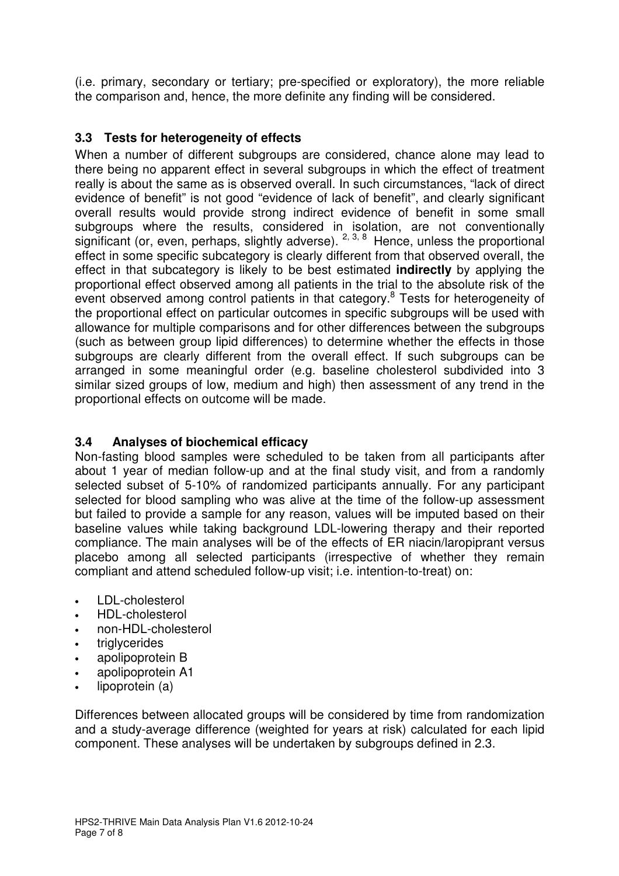(i.e. primary, secondary or tertiary; pre-specified or exploratory), the more reliable the comparison and, hence, the more definite any finding will be considered.

# **3.3 Tests for heterogeneity of effects**

When a number of different subgroups are considered, chance alone may lead to there being no apparent effect in several subgroups in which the effect of treatment really is about the same as is observed overall. In such circumstances, "lack of direct evidence of benefit" is not good "evidence of lack of benefit", and clearly significant overall results would provide strong indirect evidence of benefit in some small subgroups where the results, considered in isolation, are not conventionally significant (or, even, perhaps, slightly adverse). <sup>2, 3, 8</sup> Hence, unless the proportional effect in some specific subcategory is clearly different from that observed overall, the effect in that subcategory is likely to be best estimated **indirectly** by applying the proportional effect observed among all patients in the trial to the absolute risk of the event observed among control patients in that category.<sup>8</sup> Tests for heterogeneity of the proportional effect on particular outcomes in specific subgroups will be used with allowance for multiple comparisons and for other differences between the subgroups (such as between group lipid differences) to determine whether the effects in those subgroups are clearly different from the overall effect. If such subgroups can be arranged in some meaningful order (e.g. baseline cholesterol subdivided into 3 similar sized groups of low, medium and high) then assessment of any trend in the proportional effects on outcome will be made.

# **3.4 Analyses of biochemical efficacy**

Non-fasting blood samples were scheduled to be taken from all participants after about 1 year of median follow-up and at the final study visit, and from a randomly selected subset of 5-10% of randomized participants annually. For any participant selected for blood sampling who was alive at the time of the follow-up assessment but failed to provide a sample for any reason, values will be imputed based on their baseline values while taking background LDL-lowering therapy and their reported compliance. The main analyses will be of the effects of ER niacin/laropiprant versus placebo among all selected participants (irrespective of whether they remain compliant and attend scheduled follow-up visit; i.e. intention-to-treat) on:

- LDL-cholesterol
- HDL-cholesterol
- non-HDL-cholesterol
- triglycerides
- apolipoprotein B
- apolipoprotein A1
- lipoprotein (a)

Differences between allocated groups will be considered by time from randomization and a study-average difference (weighted for years at risk) calculated for each lipid component. These analyses will be undertaken by subgroups defined in 2.3.